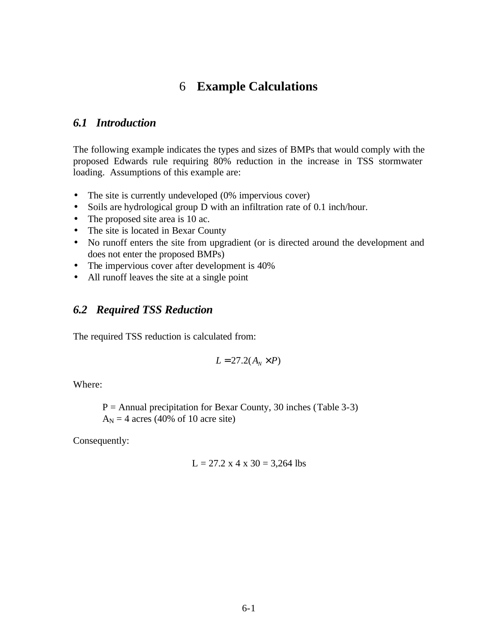# 6 **Example Calculations**

### *6.1 Introduction*

The following example indicates the types and sizes of BMPs that would comply with the proposed Edwards rule requiring 80% reduction in the increase in TSS stormwater loading. Assumptions of this example are:

- The site is currently undeveloped (0% impervious cover)
- Soils are hydrological group D with an infiltration rate of 0.1 inch/hour.
- The proposed site area is 10 ac.
- The site is located in Bexar County
- No runoff enters the site from upgradient (or is directed around the development and does not enter the proposed BMPs)
- The impervious cover after development is 40%
- All runoff leaves the site at a single point

## *6.2 Required TSS Reduction*

The required TSS reduction is calculated from:

$$
L = 27.2(A_N \times P)
$$

Where:

 $P =$  Annual precipitation for Bexar County, 30 inches (Table 3-3)  $A_N = 4$  acres (40% of 10 acre site)

Consequently:

$$
L = 27.2 \times 4 \times 30 = 3,264
$$
lbs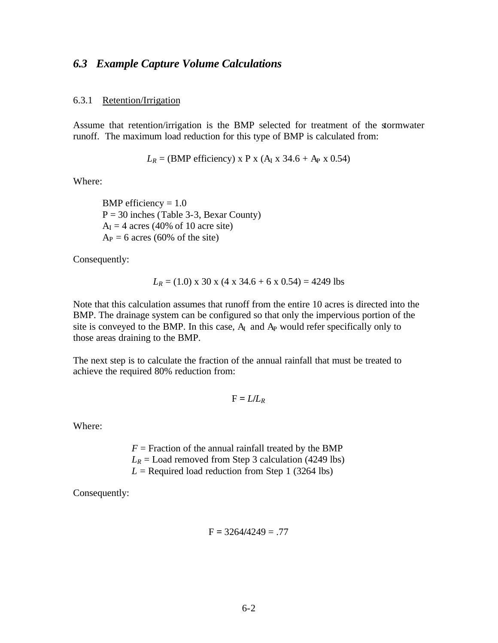### *6.3 Example Capture Volume Calculations*

#### 6.3.1 Retention/Irrigation

Assume that retention/irrigation is the BMP selected for treatment of the stormwater runoff. The maximum load reduction for this type of BMP is calculated from:

$$
L_R
$$
 = (BMP efficiency) x P x (A<sub>I</sub> x 34.6 + A<sub>P</sub> x 0.54)

Where:

BMP efficiency  $= 1.0$  $P = 30$  inches (Table 3-3, Bexar County)  $A<sub>I</sub> = 4$  acres (40% of 10 acre site)  $A_P = 6$  acres (60% of the site)

Consequently:

$$
L_R = (1.0)
$$
 x 30 x (4 x 34.6 + 6 x 0.54) = 4249 lbs

Note that this calculation assumes that runoff from the entire 10 acres is directed into the BMP. The drainage system can be configured so that only the impervious portion of the site is conveyed to the BMP. In this case,  $A<sub>I</sub>$  and  $A<sub>P</sub>$  would refer specifically only to those areas draining to the BMP.

The next step is to calculate the fraction of the annual rainfall that must be treated to achieve the required 80% reduction from:

$$
F = L/L_R
$$

Where:

 $F =$  Fraction of the annual rainfall treated by the BMP  $L_R$  = Load removed from Step 3 calculation (4249 lbs)  $L =$  Required load reduction from Step 1 (3264 lbs)

Consequently:

$$
F = 3264/4249 = .77
$$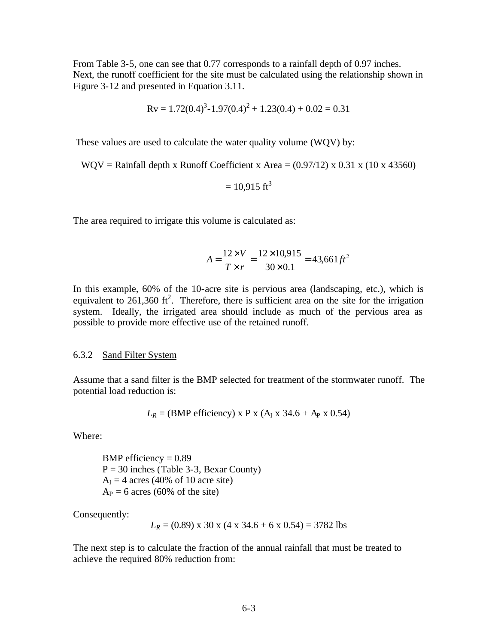From Table 3-5, one can see that 0.77 corresponds to a rainfall depth of 0.97 inches. Next, the runoff coefficient for the site must be calculated using the relationship shown in Figure 3-12 and presented in Equation 3.11.

$$
Rv = 1.72(0.4)^3 - 1.97(0.4)^2 + 1.23(0.4) + 0.02 = 0.31
$$

These values are used to calculate the water quality volume (WQV) by:

WQV = Rainfall depth x Runoff Coefficient x Area =  $(0.97/12)$  x 0.31 x (10 x 43560)

$$
= 10,915
$$
 ft<sup>3</sup>

The area required to irrigate this volume is calculated as:

$$
A = \frac{12 \times V}{T \times r} = \frac{12 \times 10,915}{30 \times 0.1} = 43,661 \, \text{ft}^2
$$

In this example, 60% of the 10-acre site is pervious area (landscaping, etc.), which is equivalent to  $261,360$  ft<sup>2</sup>. Therefore, there is sufficient area on the site for the irrigation system. Ideally, the irrigated area should include as much of the pervious area as possible to provide more effective use of the retained runoff.

#### 6.3.2 Sand Filter System

Assume that a sand filter is the BMP selected for treatment of the stormwater runoff. The potential load reduction is:

$$
L_R
$$
 = (BMP efficiency) x P x (A<sub>I</sub> x 34.6 + A<sub>P</sub> x 0.54)

Where:

BMP efficiency  $= 0.89$  $P = 30$  inches (Table 3-3, Bexar County)  $A<sub>I</sub> = 4$  acres (40% of 10 acre site)  $A_P = 6$  acres (60% of the site)

Consequently:

$$
L_R = (0.89)
$$
 x 30 x (4 x 34.6 + 6 x 0.54) = 3782 lbs

The next step is to calculate the fraction of the annual rainfall that must be treated to achieve the required 80% reduction from: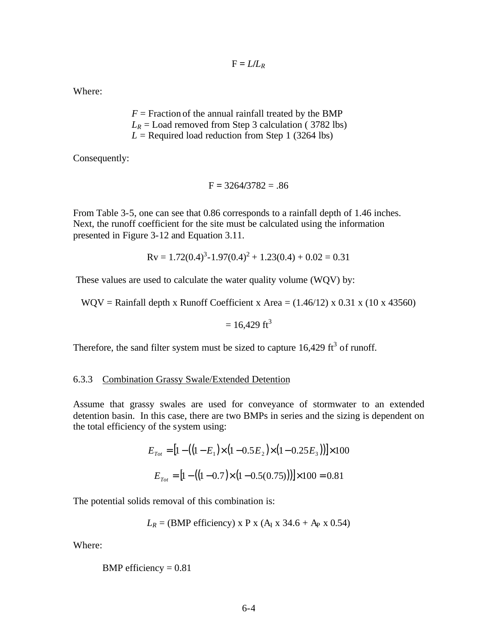$$
F = L/L_R
$$

Where:

 $F =$  Fraction of the annual rainfall treated by the BMP  $L_R$  = Load removed from Step 3 calculation (3782 lbs)  $L =$  Required load reduction from Step 1 (3264 lbs)

Consequently:

$$
F = 3264/3782 = .86
$$

From Table 3-5, one can see that 0.86 corresponds to a rainfall depth of 1.46 inches. Next, the runoff coefficient for the site must be calculated using the information presented in Figure 3-12 and Equation 3.11.

$$
Rv = 1.72(0.4)^3 - 1.97(0.4)^2 + 1.23(0.4) + 0.02 = 0.31
$$

These values are used to calculate the water quality volume (WQV) by:

WQV = Rainfall depth x Runoff Coefficient x Area =  $(1.46/12)$  x 0.31 x  $(10 \times 43560)$ 

$$
= 16,429 \text{ ft}^3
$$

Therefore, the sand filter system must be sized to capture  $16,429 \text{ ft}^3$  of runoff.

#### 6.3.3 Combination Grassy Swale/Extended Detention

Assume that grassy swales are used for conveyance of stormwater to an extended detention basin. In this case, there are two BMPs in series and the sizing is dependent on the total efficiency of the system using:

$$
E_{\text{Tot}} = [1 - ((1 - E_1) \times (1 - 0.5E_2) \times (1 - 0.25E_3))] \times 100
$$

$$
E_{\text{Tot}} = [1 - ((1 - 0.7) \times (1 - 0.5(0.75)))] \times 100 = 0.81
$$

The potential solids removal of this combination is:

$$
L_R
$$
 = (BMP efficiency) x P x (A<sub>I</sub> x 34.6 + A<sub>P</sub> x 0.54)

Where:

BMP efficiency = 
$$
0.81
$$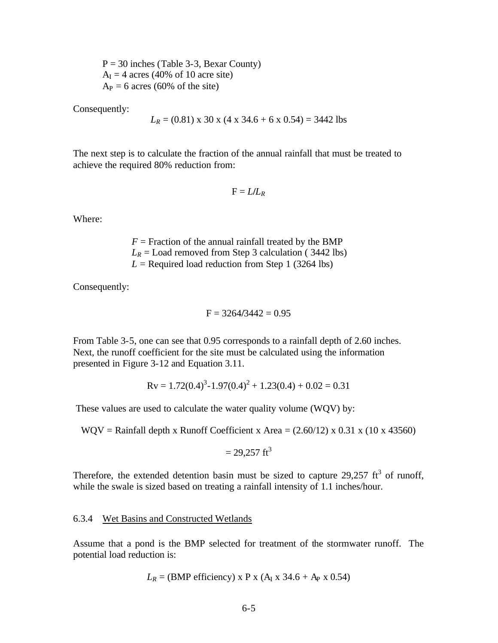$P = 30$  inches (Table 3-3, Bexar County)  $A<sub>I</sub> = 4$  acres (40% of 10 acre site)  $A_P = 6$  acres (60% of the site)

Consequently:

$$
L_R = (0.81)
$$
 x 30 x (4 x 34.6 + 6 x 0.54) = 3442 lbs

The next step is to calculate the fraction of the annual rainfall that must be treated to achieve the required 80% reduction from:

$$
F = L/L_R
$$

Where:

 $F =$  Fraction of the annual rainfall treated by the BMP  $L_R$  = Load removed from Step 3 calculation (3442 lbs)  $L =$  Required load reduction from Step 1 (3264 lbs)

Consequently:

$$
F = 3264/3442 = 0.95
$$

From Table 3-5, one can see that 0.95 corresponds to a rainfall depth of 2.60 inches. Next, the runoff coefficient for the site must be calculated using the information presented in Figure 3-12 and Equation 3.11.

$$
Rv = 1.72(0.4)^3 - 1.97(0.4)^2 + 1.23(0.4) + 0.02 = 0.31
$$

These values are used to calculate the water quality volume (WQV) by:

WQV = Rainfall depth x Runoff Coefficient x Area =  $(2.60/12)$  x 0.31 x (10 x 43560)

$$
= 29,257
$$
 ft<sup>3</sup>

Therefore, the extended detention basin must be sized to capture 29,257  $\text{ft}^3$  of runoff, while the swale is sized based on treating a rainfall intensity of 1.1 inches/hour.

#### 6.3.4 Wet Basins and Constructed Wetlands

Assume that a pond is the BMP selected for treatment of the stormwater runoff. The potential load reduction is:

$$
L_R
$$
 = (BMP efficiency) x P x (A<sub>I</sub> x 34.6 + A<sub>P</sub> x 0.54)